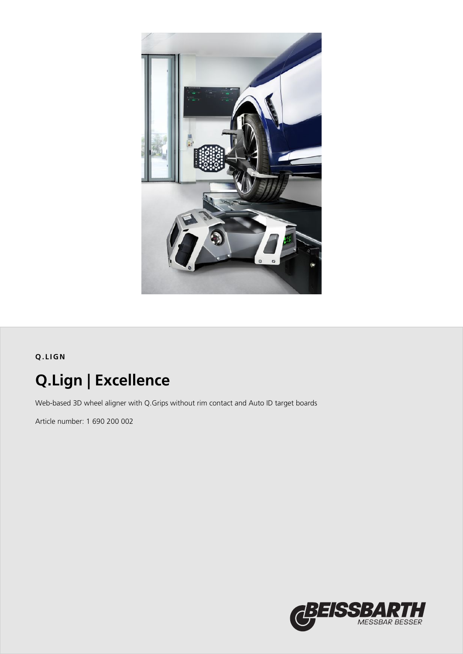

## **Q.LIGN**

# **Q.Lign | Excellence**

Web-based 3D wheel aligner with Q.Grips without rim contact and Auto ID target boards

Article number: 1 690 200 002

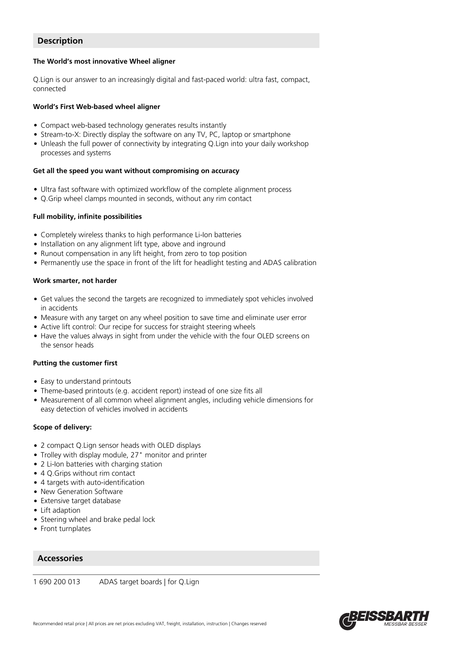## **Description**

#### **The World's most innovative Wheel aligner**

Q.Lign is our answer to an increasingly digital and fast-paced world: ultra fast, compact, connected

#### **World's First Web-based wheel aligner**

- Compact web-based technology generates results instantly
- Stream-to-X: Directly display the software on any TV, PC, laptop or smartphone
- Unleash the full power of connectivity by integrating Q.Lign into your daily workshop processes and systems

#### **Get all the speed you want without compromising on accuracy**

- Ultra fast software with optimized workflow of the complete alignment process
- Q.Grip wheel clamps mounted in seconds, without any rim contact

#### **Full mobility, infinite possibilities**

- Completely wireless thanks to high performance Li-Ion batteries
- Installation on any alignment lift type, above and inground
- Runout compensation in any lift height, from zero to top position
- Permanently use the space in front of the lift for headlight testing and ADAS calibration

#### **Work smarter, not harder**

- Get values the second the targets are recognized to immediately spot vehicles involved in accidents
- Measure with any target on any wheel position to save time and eliminate user error
- Active lift control: Our recipe for success for straight steering wheels
- Have the values always in sight from under the vehicle with the four OLED screens on the sensor heads

#### **Putting the customer first**

- Easy to understand printouts
- Theme-based printouts (e.g. accident report) instead of one size fits all
- Measurement of all common wheel alignment angles, including vehicle dimensions for easy detection of vehicles involved in accidents

#### **Scope of delivery:**

- 2 compact Q.Lign sensor heads with OLED displays
- Trolley with display module, 27" monitor and printer
- 2 Li-Ion batteries with charging station
- 4 O.Grips without rim contact
- 4 targets with auto-identification
- New Generation Software
- Extensive target database
- Lift adaption
- Steering wheel and brake pedal lock
- Front turnplates

### **Accessories**

1 690 200 013 ADAS target boards | for Q.Lign

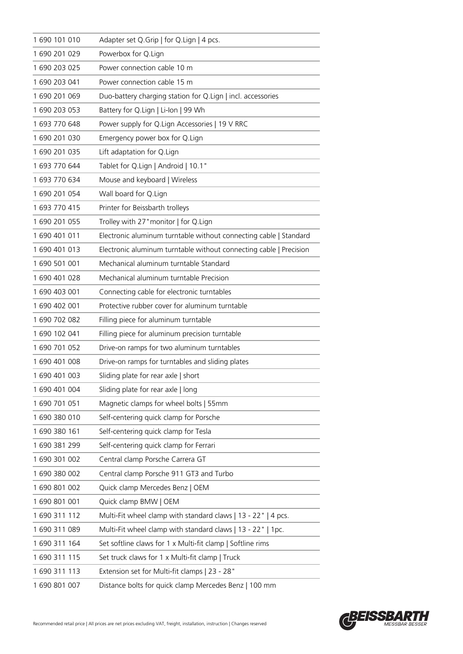| 1690 101 010  | Adapter set Q.Grip   for Q.Lign   4 pcs.                           |
|---------------|--------------------------------------------------------------------|
| 1690 201 029  | Powerbox for Q.Lign                                                |
| 1 690 203 025 | Power connection cable 10 m                                        |
| 1690 203 041  | Power connection cable 15 m                                        |
| 1690 201 069  | Duo-battery charging station for Q.Lign   incl. accessories        |
| 1 690 203 053 | Battery for Q.Lign   Li-Ion   99 Wh                                |
| 1 693 770 648 | Power supply for Q.Lign Accessories   19 V RRC                     |
| 1690 201 030  | Emergency power box for Q.Lign                                     |
| 1 690 201 035 | Lift adaptation for Q.Lign                                         |
| 1 693 770 644 | Tablet for Q.Lign   Android   10.1"                                |
| 1 693 770 634 | Mouse and keyboard   Wireless                                      |
| 1690 201 054  | Wall board for Q.Lign                                              |
| 1 693 770 415 | Printer for Beissbarth trolleys                                    |
| 1 690 201 055 | Trolley with 27" monitor   for Q.Lign                              |
| 1690401011    | Electronic aluminum turntable without connecting cable   Standard  |
| 1690 401 013  | Electronic aluminum turntable without connecting cable   Precision |
| 1 690 501 001 | Mechanical aluminum turntable Standard                             |
| 1690 401 028  | Mechanical aluminum turntable Precision                            |
| 1 690 403 001 | Connecting cable for electronic turntables                         |
| 1 690 402 001 | Protective rubber cover for aluminum turntable                     |
| 1 690 702 082 | Filling piece for aluminum turntable                               |
| 1690 102 041  | Filling piece for aluminum precision turntable                     |
| 1 690 701 052 | Drive-on ramps for two aluminum turntables                         |
| 1 690 401 008 | Drive-on ramps for turntables and sliding plates                   |
| 1690401003    | Sliding plate for rear axle   short                                |
| 1690 401 004  | Sliding plate for rear axle   long                                 |
| 1690 701 051  | Magnetic clamps for wheel bolts   55mm                             |
| 1690380010    | Self-centering quick clamp for Porsche                             |
| 1690380161    | Self-centering quick clamp for Tesla                               |
| 1690381299    | Self-centering quick clamp for Ferrari                             |
| 1690 301 002  | Central clamp Porsche Carrera GT                                   |
| 1 690 380 002 | Central clamp Porsche 911 GT3 and Turbo                            |
| 1690801002    | Quick clamp Mercedes Benz   OEM                                    |
| 1690801001    | Quick clamp BMW   OEM                                              |
| 1690 311 112  | Multi-Fit wheel clamp with standard claws   13 - 22"   4 pcs.      |
| 1690 311 089  | Multi-Fit wheel clamp with standard claws   13 - 22"   1pc.        |
| 1690 311 164  | Set softline claws for 1 x Multi-fit clamp   Softline rims         |
| 1690 311 115  | Set truck claws for 1 x Multi-fit clamp   Truck                    |
| 1690 311 113  | Extension set for Multi-fit clamps   23 - 28"                      |
| 1690801007    | Distance bolts for quick clamp Mercedes Benz   100 mm              |